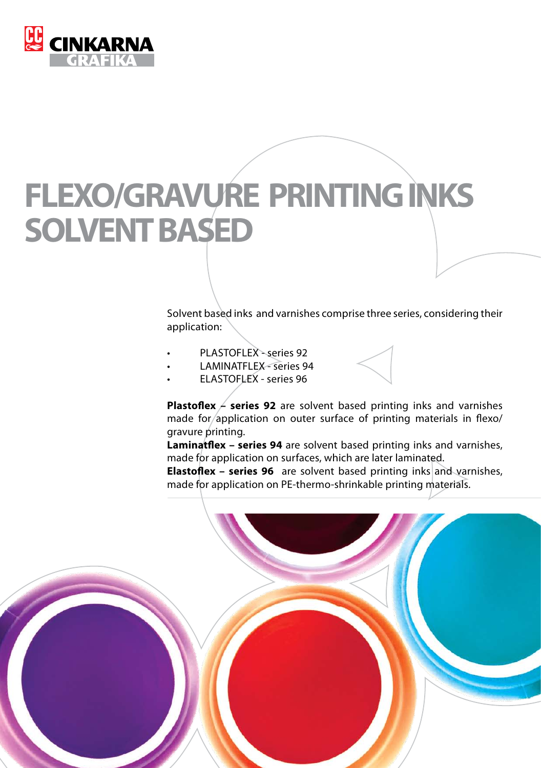

# **FLEXO/GRAVURE PRINTING INKS SOLVENT BASED**

Solvent based inks and varnishes comprise three series, considering their application:

- PLASTOFLEX series 92
- **LAMINATFLEX series 94**
- ELASTOFLEX series 96

**Plastoflex**  $\neq$  series 92 are solvent based printing inks and varnishes made for/application on outer surface of printing materials in flexo/ gravure printing.

**Laminatflex – series 94** are solvent based printing inks and varnishes, made for application on surfaces, which are later laminated.

**Elastoflex – series 96** are solvent based printing inks and varnishes, made for application on PE-thermo-shrinkable printing materials.